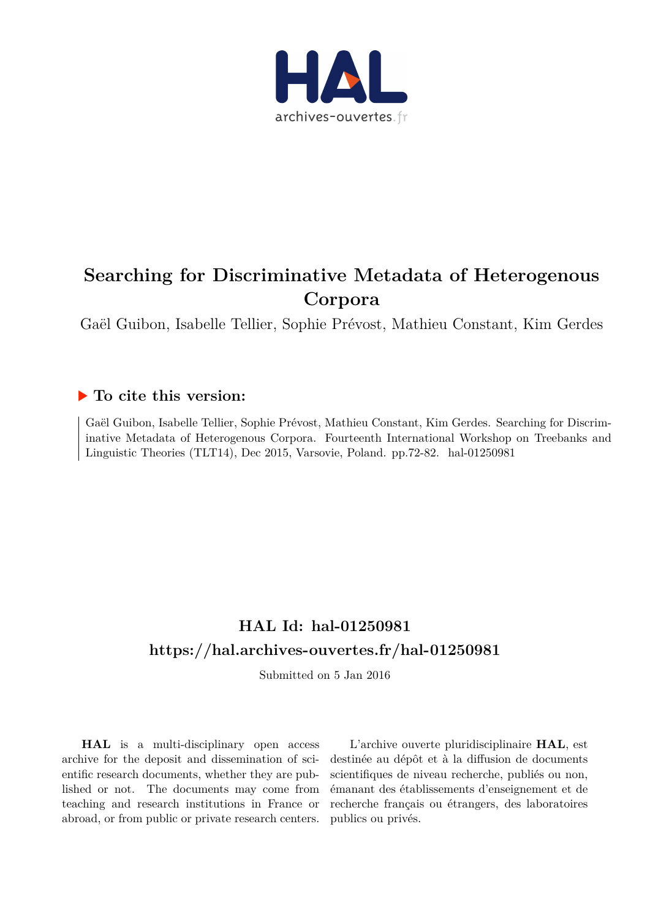

# **Searching for Discriminative Metadata of Heterogenous Corpora**

Gaël Guibon, Isabelle Tellier, Sophie Prévost, Mathieu Constant, Kim Gerdes

# **To cite this version:**

Gaël Guibon, Isabelle Tellier, Sophie Prévost, Mathieu Constant, Kim Gerdes. Searching for Discriminative Metadata of Heterogenous Corpora. Fourteenth International Workshop on Treebanks and Linguistic Theories (TLT14), Dec 2015, Varsovie, Poland. pp.72-82. hal-01250981

# **HAL Id: hal-01250981 <https://hal.archives-ouvertes.fr/hal-01250981>**

Submitted on 5 Jan 2016

**HAL** is a multi-disciplinary open access archive for the deposit and dissemination of scientific research documents, whether they are published or not. The documents may come from teaching and research institutions in France or abroad, or from public or private research centers.

L'archive ouverte pluridisciplinaire **HAL**, est destinée au dépôt et à la diffusion de documents scientifiques de niveau recherche, publiés ou non, émanant des établissements d'enseignement et de recherche français ou étrangers, des laboratoires publics ou privés.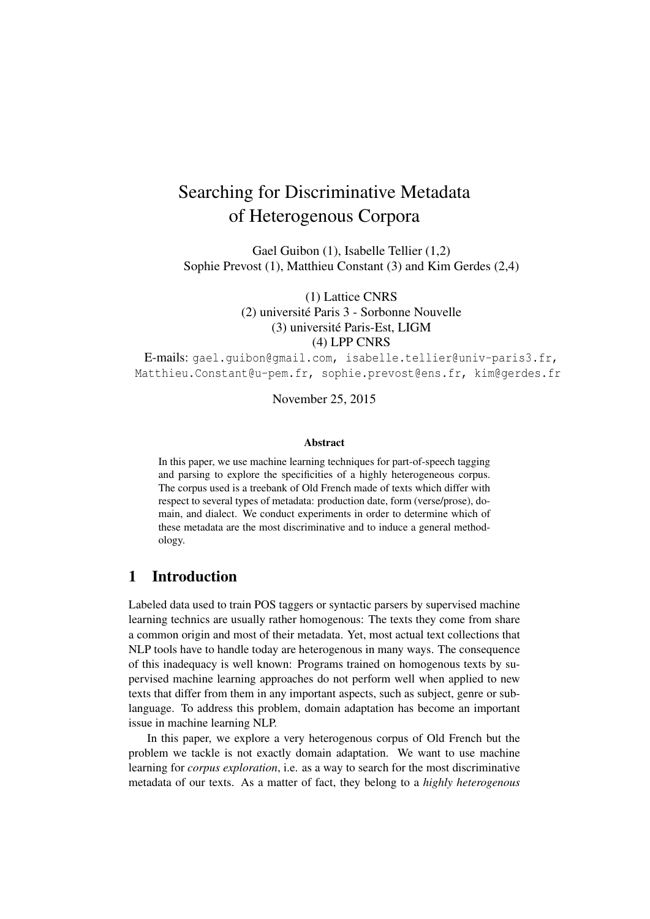# Searching for Discriminative Metadata of Heterogenous Corpora

Gael Guibon (1), Isabelle Tellier (1,2) Sophie Prevost (1), Matthieu Constant (3) and Kim Gerdes (2,4)

> (1) Lattice CNRS (2) université Paris 3 - Sorbonne Nouvelle (3) université Paris-Est, LIGM (4) LPP CNRS

E-mails: gael.guibon@gmail.com, isabelle.tellier@univ-paris3.fr, Matthieu.Constant@u-pem.fr, sophie.prevost@ens.fr, kim@gerdes.fr

November 25, 2015

#### Abstract

In this paper, we use machine learning techniques for part-of-speech tagging and parsing to explore the specificities of a highly heterogeneous corpus. The corpus used is a treebank of Old French made of texts which differ with respect to several types of metadata: production date, form (verse/prose), domain, and dialect. We conduct experiments in order to determine which of these metadata are the most discriminative and to induce a general methodology.

### 1 Introduction

Labeled data used to train POS taggers or syntactic parsers by supervised machine learning technics are usually rather homogenous: The texts they come from share a common origin and most of their metadata. Yet, most actual text collections that NLP tools have to handle today are heterogenous in many ways. The consequence of this inadequacy is well known: Programs trained on homogenous texts by supervised machine learning approaches do not perform well when applied to new texts that differ from them in any important aspects, such as subject, genre or sublanguage. To address this problem, domain adaptation has become an important issue in machine learning NLP.

In this paper, we explore a very heterogenous corpus of Old French but the problem we tackle is not exactly domain adaptation. We want to use machine learning for *corpus exploration*, i.e. as a way to search for the most discriminative metadata of our texts. As a matter of fact, they belong to a *highly heterogenous*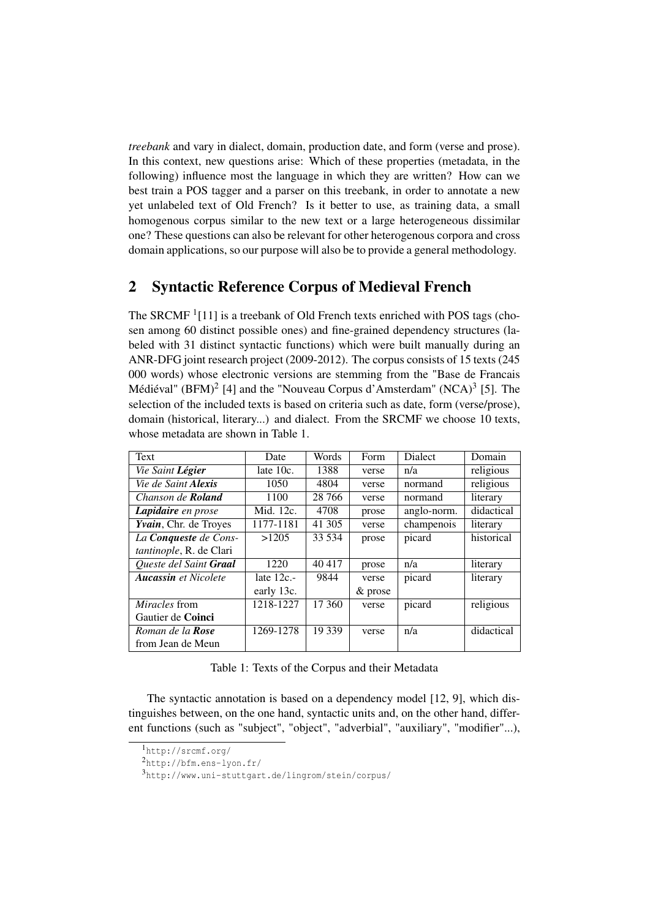*treebank* and vary in dialect, domain, production date, and form (verse and prose). In this context, new questions arise: Which of these properties (metadata, in the following) influence most the language in which they are written? How can we best train a POS tagger and a parser on this treebank, in order to annotate a new yet unlabeled text of Old French? Is it better to use, as training data, a small homogenous corpus similar to the new text or a large heterogeneous dissimilar one? These questions can also be relevant for other heterogenous corpora and cross domain applications, so our purpose will also be to provide a general methodology.

## 2 Syntactic Reference Corpus of Medieval French

The SRCMF<sup>1</sup>[11] is a treebank of Old French texts enriched with POS tags (chosen among 60 distinct possible ones) and fine-grained dependency structures (labeled with 31 distinct syntactic functions) which were built manually during an ANR-DFG joint research project (2009-2012). The corpus consists of 15 texts (245 000 words) whose electronic versions are stemming from the "Base de Francais Médiéval" (BFM)<sup>2</sup> [4] and the "Nouveau Corpus d'Amsterdam" (NCA)<sup>3</sup> [5]. The selection of the included texts is based on criteria such as date, form (verse/prose), domain (historical, literary...) and dialect. From the SRCMF we choose 10 texts, whose metadata are shown in Table 1.

| Text                            | Date         | Words  | Form       | <b>Dialect</b> | Domain     |
|---------------------------------|--------------|--------|------------|----------------|------------|
| Vie Saint Légier                | late $10c$ . | 1388   | verse      | n/a            | religious  |
| Vie de Saint <b>Alexis</b>      | 1050         | 4804   | verse      | normand        | religious  |
| Chanson de <b>Roland</b>        | 1100         | 28 766 | verse      | normand        | literary   |
| Lapidaire en prose              | Mid. 12c.    | 4708   | prose      | anglo-norm.    | didactical |
| Yvain, Chr. de Troyes           | 1177-1181    | 41 305 | verse      | champenois     | literary   |
| La <b>Conqueste</b> de Cons-    | >1205        | 33 534 | prose      | picard         | historical |
| <i>tantinople</i> , R. de Clari |              |        |            |                |            |
| Queste del Saint Graal          | 1220         | 40 417 | prose      | n/a            | literary   |
| <b>Aucassin</b> et Nicolete     | late $12c$ . | 9844   | verse      | picard         | literary   |
|                                 | early 13c.   |        | $\&$ prose |                |            |
| <i>Miracles</i> from            | 1218-1227    | 17 360 | verse      | picard         | religious  |
| Gautier de Coinci               |              |        |            |                |            |
| Roman de la <b>Rose</b>         | 1269-1278    | 19 339 | verse      | n/a            | didactical |
| from Jean de Meun               |              |        |            |                |            |

Table 1: Texts of the Corpus and their Metadata

The syntactic annotation is based on a dependency model [12, 9], which distinguishes between, on the one hand, syntactic units and, on the other hand, different functions (such as "subject", "object", "adverbial", "auxiliary", "modifier"...),

<sup>1</sup>http://srcmf.org/

<sup>2</sup>http://bfm.ens-lyon.fr/

<sup>3</sup>http://www.uni-stuttgart.de/lingrom/stein/corpus/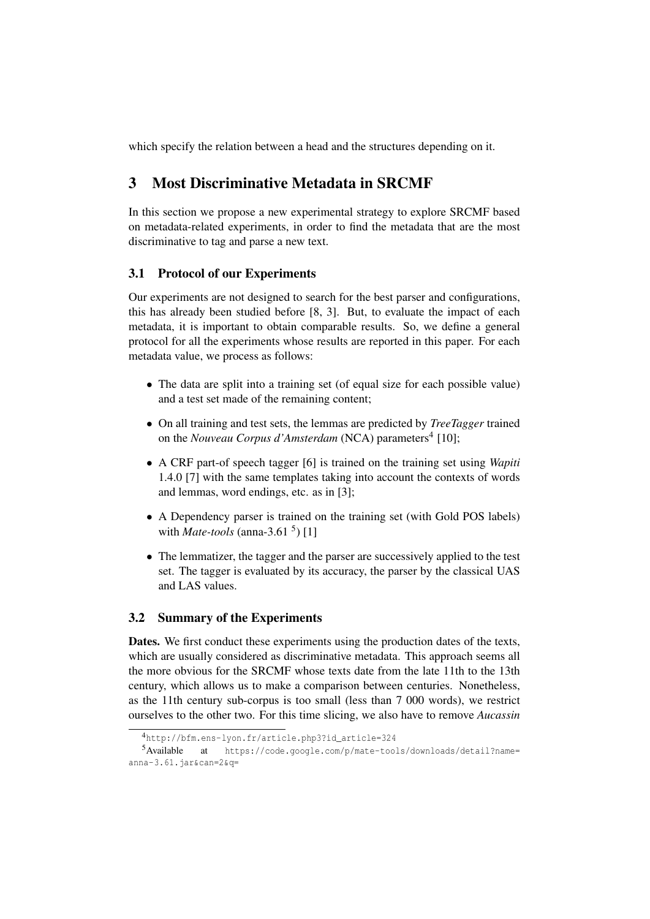which specify the relation between a head and the structures depending on it.

# 3 Most Discriminative Metadata in SRCMF

In this section we propose a new experimental strategy to explore SRCMF based on metadata-related experiments, in order to find the metadata that are the most discriminative to tag and parse a new text.

### 3.1 Protocol of our Experiments

Our experiments are not designed to search for the best parser and configurations, this has already been studied before [8, 3]. But, to evaluate the impact of each metadata, it is important to obtain comparable results. So, we define a general protocol for all the experiments whose results are reported in this paper. For each metadata value, we process as follows:

- The data are split into a training set (of equal size for each possible value) and a test set made of the remaining content;
- On all training and test sets, the lemmas are predicted by *TreeTagger* trained on the *Nouveau Corpus d'Amsterdam* (NCA) parameters<sup>4</sup> [10];
- A CRF part-of speech tagger [6] is trained on the training set using *Wapiti* 1.4.0 [7] with the same templates taking into account the contexts of words and lemmas, word endings, etc. as in [3];
- A Dependency parser is trained on the training set (with Gold POS labels) with *Mate-tools* (anna-3.61<sup>5</sup>) [1]
- The lemmatizer, the tagger and the parser are successively applied to the test set. The tagger is evaluated by its accuracy, the parser by the classical UAS and LAS values.

#### 3.2 Summary of the Experiments

Dates. We first conduct these experiments using the production dates of the texts, which are usually considered as discriminative metadata. This approach seems all the more obvious for the SRCMF whose texts date from the late 11th to the 13th century, which allows us to make a comparison between centuries. Nonetheless, as the 11th century sub-corpus is too small (less than 7 000 words), we restrict ourselves to the other two. For this time slicing, we also have to remove *Aucassin*

<sup>4</sup>http://bfm.ens-lyon.fr/article.php3?id\_article=324

<sup>5</sup>Available at https://code.google.com/p/mate-tools/downloads/detail?name= anna-3.61.jar&can=2&q=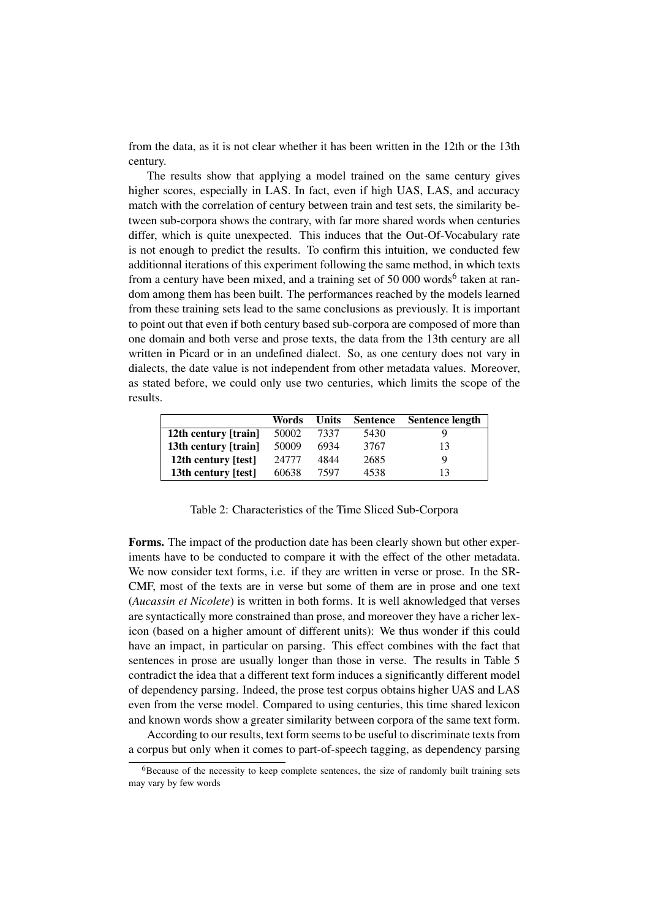from the data, as it is not clear whether it has been written in the 12th or the 13th century.

The results show that applying a model trained on the same century gives higher scores, especially in LAS. In fact, even if high UAS, LAS, and accuracy match with the correlation of century between train and test sets, the similarity between sub-corpora shows the contrary, with far more shared words when centuries differ, which is quite unexpected. This induces that the Out-Of-Vocabulary rate is not enough to predict the results. To confirm this intuition, we conducted few additionnal iterations of this experiment following the same method, in which texts from a century have been mixed, and a training set of 50 000 words<sup>6</sup> taken at random among them has been built. The performances reached by the models learned from these training sets lead to the same conclusions as previously. It is important to point out that even if both century based sub-corpora are composed of more than one domain and both verse and prose texts, the data from the 13th century are all written in Picard or in an undefined dialect. So, as one century does not vary in dialects, the date value is not independent from other metadata values. Moreover, as stated before, we could only use two centuries, which limits the scope of the results.

|                      | Words | <b>Units</b> | <b>Sentence</b> | <b>Sentence length</b> |
|----------------------|-------|--------------|-----------------|------------------------|
| 12th century [train] | 50002 | 7337         | 5430            |                        |
| 13th century [train] | 50009 | 6934         | 3767            | 13                     |
| 12th century [test]  | 24777 | 4844         | 2685            | Q                      |
| 13th century [test]  | 60638 | 7597         | 4538            |                        |

Table 2: Characteristics of the Time Sliced Sub-Corpora

Forms. The impact of the production date has been clearly shown but other experiments have to be conducted to compare it with the effect of the other metadata. We now consider text forms, i.e. if they are written in verse or prose. In the SR-CMF, most of the texts are in verse but some of them are in prose and one text (*Aucassin et Nicolete*) is written in both forms. It is well aknowledged that verses are syntactically more constrained than prose, and moreover they have a richer lexicon (based on a higher amount of different units): We thus wonder if this could have an impact, in particular on parsing. This effect combines with the fact that sentences in prose are usually longer than those in verse. The results in Table 5 contradict the idea that a different text form induces a significantly different model of dependency parsing. Indeed, the prose test corpus obtains higher UAS and LAS even from the verse model. Compared to using centuries, this time shared lexicon and known words show a greater similarity between corpora of the same text form.

According to our results, text form seems to be useful to discriminate texts from a corpus but only when it comes to part-of-speech tagging, as dependency parsing

 ${}^{6}$ Because of the necessity to keep complete sentences, the size of randomly built training sets may vary by few words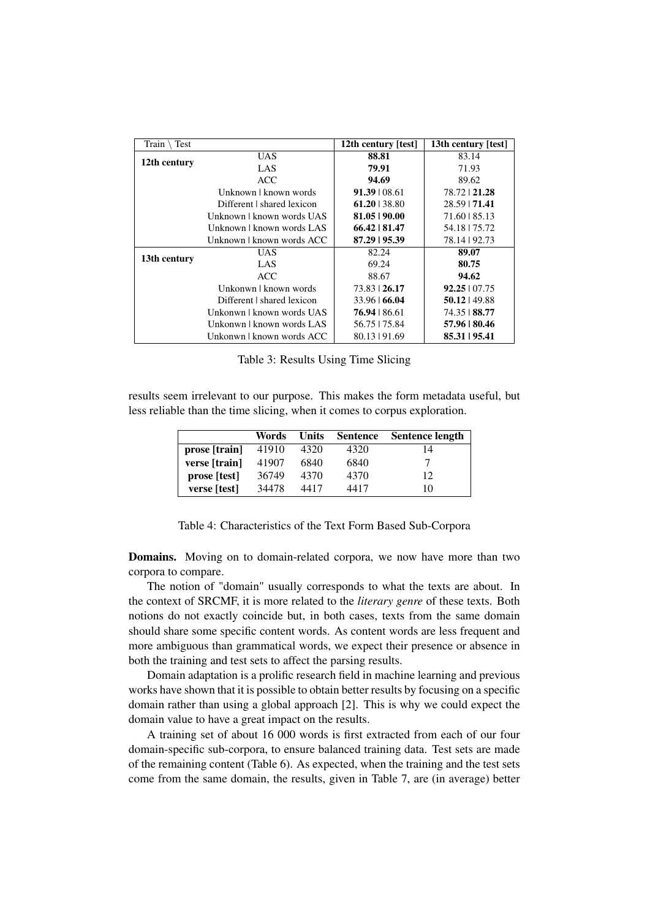| Test<br>Train |                            | 12th century [test] | 13th century [test]  |
|---------------|----------------------------|---------------------|----------------------|
|               | <b>UAS</b>                 | 88.81               | 83.14                |
| 12th century  | LAS                        | 79.91               | 71.93                |
|               | <b>ACC</b>                 | 94.69               | 89.62                |
|               | Unknown   known words      | $91.39 \mid 08.61$  | 78.72   21.28        |
|               | Different I shared lexicon | $61.20$   38.80     | 28.59   71.41        |
|               | Unknown   known words UAS  | 81.05   90.00       | 71.60   85.13        |
|               | Unknown   known words LAS  | 66.42   81.47       | 54.18   75.72        |
|               | Unknown   known words ACC  | 87.29   95.39       | 78.14   92.73        |
|               | <b>UAS</b>                 | 82.24               | 89.07                |
| 13th century  | LAS                        | 69.24               | 80.75                |
|               | ACC.                       | 88.67               | 94.62                |
|               | Unkonwn   known words      | 73.83   26.17       | $92.25 \times 07.75$ |
|               | Different I shared lexicon | $33.96 \mid 66.04$  | $50.12$   49.88      |
|               | Unkonwn   known words UAS  | 76.94   86.61       | 74.35   88.77        |
|               | Unkonwn   known words LAS  | 56.75   75.84       | 57.96   80.46        |
|               | Unkonwn   known words ACC  | 80.13   91.69       | 85.31   95.41        |

Table 3: Results Using Time Slicing

results seem irrelevant to our purpose. This makes the form metadata useful, but less reliable than the time slicing, when it comes to corpus exploration.

| Words | Units | <b>Sentence</b> | Sentence length |
|-------|-------|-----------------|-----------------|
| 41910 | 4320  | 4320            | 14              |
| 41907 | 6840  | 6840            |                 |
| 36749 | 4370  | 4370            | 12              |
| 34478 | 4417  | 4417            | 10              |
|       |       |                 |                 |

Table 4: Characteristics of the Text Form Based Sub-Corpora

Domains. Moving on to domain-related corpora, we now have more than two corpora to compare.

The notion of "domain" usually corresponds to what the texts are about. In the context of SRCMF, it is more related to the *literary genre* of these texts. Both notions do not exactly coincide but, in both cases, texts from the same domain should share some specific content words. As content words are less frequent and more ambiguous than grammatical words, we expect their presence or absence in both the training and test sets to affect the parsing results.

Domain adaptation is a prolific research field in machine learning and previous works have shown that it is possible to obtain better results by focusing on a specific domain rather than using a global approach [2]. This is why we could expect the domain value to have a great impact on the results.

A training set of about 16 000 words is first extracted from each of our four domain-specific sub-corpora, to ensure balanced training data. Test sets are made of the remaining content (Table 6). As expected, when the training and the test sets come from the same domain, the results, given in Table 7, are (in average) better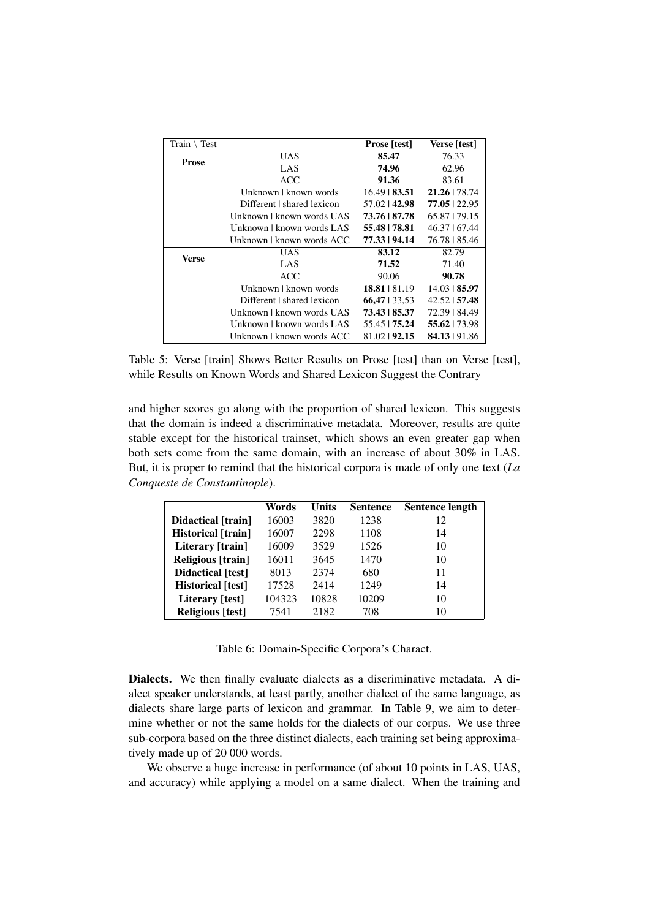| Train<br>Test |                            | <b>Prose</b> [test] | Verse [test]            |
|---------------|----------------------------|---------------------|-------------------------|
| <b>Prose</b>  | <b>UAS</b>                 | 85.47               | 76.33                   |
|               | LAS                        | 74.96               | 62.96                   |
|               | ACC.                       | 91.36               | 83.61                   |
|               | Unknown   known words      | $16.49 \mid 83.51$  | 21.26   78.74           |
|               | Different I shared lexicon | 57.02142.98         | $77.05$   22.95         |
|               | Unknown   known words UAS  | 73.76   87.78       | 65.87   79.15           |
|               | Unknown   known words LAS  | 55.48   78.81       | 46.37   67.44           |
|               | Unknown   known words ACC  | 77.33   94.14       | 76.78   85.46           |
| Verse         | <b>UAS</b>                 | 83.12               | 82.79                   |
|               | LAS                        | 71.52               | 71.40                   |
|               | ACC.                       | 90.06               | 90.78                   |
|               | Unknown   known words      | $18.81 \cup 81.19$  | $14.03 \text{ } 185.97$ |
|               | Different I shared lexicon | $66,47$   33,53     | 42.52   57.48           |
|               | Unknown   known words UAS  | 73.43   85.37       | 72.39   84.49           |
|               | Unknown   known words LAS  | 55.45   75.24       | 55.62   73.98           |
|               | Unknown   known words ACC  | 81.02   92.15       | 84.13   91.86           |

Table 5: Verse [train] Shows Better Results on Prose [test] than on Verse [test], while Results on Known Words and Shared Lexicon Suggest the Contrary

and higher scores go along with the proportion of shared lexicon. This suggests that the domain is indeed a discriminative metadata. Moreover, results are quite stable except for the historical trainset, which shows an even greater gap when both sets come from the same domain, with an increase of about 30% in LAS. But, it is proper to remind that the historical corpora is made of only one text (*La Conqueste de Constantinople*).

|                          | Words  | Units | <b>Sentence</b> | <b>Sentence length</b> |
|--------------------------|--------|-------|-----------------|------------------------|
| Didactical [train]       | 16003  | 3820  | 1238            | 12                     |
| Historical [train]       | 16007  | 2298  | 1108            | 14                     |
| Literary [train]         | 16009  | 3529  | 1526            | 10                     |
| <b>Religious</b> [train] | 16011  | 3645  | 1470            | 10                     |
| Didactical [test]        | 8013   | 2374  | 680             | 11                     |
| <b>Historical</b> [test] | 17528  | 2414  | 1249            | 14                     |
| Literary [test]          | 104323 | 10828 | 10209           | 10                     |
| Religious [test]         | 7541   | 2182  | 708             | 10                     |

Table 6: Domain-Specific Corpora's Charact.

Dialects. We then finally evaluate dialects as a discriminative metadata. A dialect speaker understands, at least partly, another dialect of the same language, as dialects share large parts of lexicon and grammar. In Table 9, we aim to determine whether or not the same holds for the dialects of our corpus. We use three sub-corpora based on the three distinct dialects, each training set being approximatively made up of 20 000 words.

We observe a huge increase in performance (of about 10 points in LAS, UAS, and accuracy) while applying a model on a same dialect. When the training and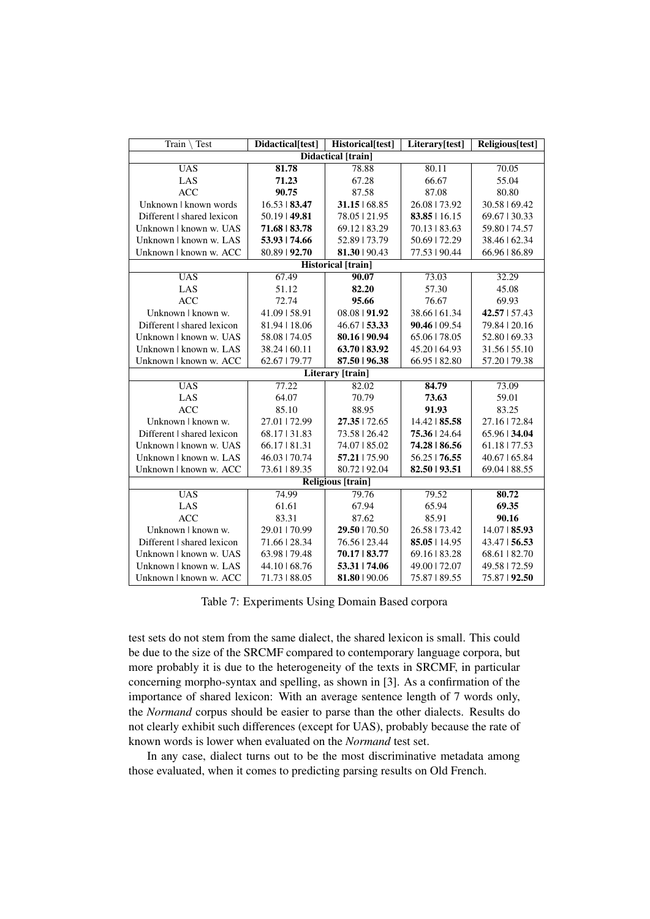| Train<br>Test              | Didactical[test]        | Historical[test]          | Literary[test]     | Religious[test]    |  |  |
|----------------------------|-------------------------|---------------------------|--------------------|--------------------|--|--|
|                            |                         | <b>Didactical</b> [train] |                    |                    |  |  |
| <b>UAS</b>                 | 81.78                   | 78.88                     | 80.11              | 70.05              |  |  |
| LAS                        | 71.23                   | 67.28                     | 66.67              | 55.04              |  |  |
| <b>ACC</b>                 | 90.75                   | 87.58                     | 87.08              | 80.80              |  |  |
| Unknown   known words      | $16.53 \text{ } 183.47$ | $31.15 \mid 68.85$        | 26.08   73.92      | 30.58   69.42      |  |  |
| Different   shared lexicon | $50.19$   49.81         | 78.05   21.95             | $83.85 \mid 16.15$ | 69.67   30.33      |  |  |
| Unknown   known w. UAS     | 71.68   83.78           | 69.12   83.29             | $70.13 \mid 83.63$ | 59.80   74.57      |  |  |
| Unknown   known w. LAS     | 53.93   74.66           | 52.89   73.79             | 50.69   72.29      | 38.46   62.34      |  |  |
| Unknown   known w. ACC     | 80.89   92.70           | 81.30   90.43             | 77.53   90.44      | 66.96   86.89      |  |  |
|                            |                         | <b>Historical</b> [train] |                    |                    |  |  |
| <b>UAS</b>                 | 67.49                   | 90.07                     | 73.03              | 32.29              |  |  |
| LAS                        | 51.12                   | 82.20                     | 57.30              | 45.08              |  |  |
| <b>ACC</b>                 | 72.74                   | 95.66                     | 76.67              | 69.93              |  |  |
| Unknown   known w.         | 41.09   58.91           | 08.08   91.92             | 38.66   61.34      | 42.57   57.43      |  |  |
| Different   shared lexicon | 81.94   18.06           | $46.67$   53.33           | $90.46 \mid 09.54$ | 79.84   20.16      |  |  |
| Unknown   known w. UAS     | 58.08   74.05           | 80.16   90.94             | 65.06   78.05      | 52.80   69.33      |  |  |
| Unknown   known w. LAS     | 38.24   60.11           | 63.70   83.92             | 45.20164.93        | 31.56   55.10      |  |  |
| Unknown   known w. ACC     | 62.67   79.77           | 87.50   96.38             | 66.95   82.80      | 57.20179.38        |  |  |
| Literary [train]           |                         |                           |                    |                    |  |  |
| <b>UAS</b>                 | 77.22                   | 82.02                     | 84.79              | 73.09              |  |  |
| LAS                        | 64.07                   | 70.79                     | 73.63              | 59.01              |  |  |
| <b>ACC</b>                 | 85.10                   | 88.95                     | 91.93              | 83.25              |  |  |
| Unknown   known w.         | 27.01   72.99           | $27.35$   72.65           | 14.42   85.58      | 27.16   72.84      |  |  |
| Different   shared lexicon | 68.17   31.83           | 73.58   26.42             | 75.36   24.64      | 65.96   34.04      |  |  |
| Unknown   known w. UAS     | 66.17   81.31           | 74.07   85.02             | 74.28   86.56      | 61.18   77.53      |  |  |
| Unknown   known w. LAS     | 46.03   70.74           | 57.21   75.90             | 56.25   76.55      | $40.67$   65.84    |  |  |
| Unknown   known w. ACC     | 73.61   89.35           | 80.72192.04               | 82.50   93.51      | 69.04   88.55      |  |  |
|                            |                         | <b>Religious</b> [train]  |                    |                    |  |  |
| <b>UAS</b>                 | 74.99                   | 79.76                     | 79.52              | 80.72              |  |  |
| LAS                        | 61.61                   | 67.94                     | 65.94              | 69.35              |  |  |
| <b>ACC</b>                 | 83.31                   | 87.62                     | 85.91              | 90.16              |  |  |
| Unknown   known w.         | 29.01   70.99           | 29.50   70.50             | 26.58   73.42      | $14.07 \mid 85.93$ |  |  |
| Different   shared lexicon | 71.66   28.34           | 76.56   23.44             | $85.05$   14.95    | $43.47 \mid 56.53$ |  |  |
| Unknown   known w. UAS     | 63.98   79.48           | 70.17   83.77             | 69.16   83.28      | 68.61   82.70      |  |  |
| Unknown   known w. LAS     | 44.10   68.76           | 53.31   74.06             | 49.00   72.07      | 49.58   72.59      |  |  |
| Unknown   known w. ACC     | 71.73   88.05           | 81.80   90.06             | 75.87   89.55      | 75.87   92.50      |  |  |

Table 7: Experiments Using Domain Based corpora

test sets do not stem from the same dialect, the shared lexicon is small. This could be due to the size of the SRCMF compared to contemporary language corpora, but more probably it is due to the heterogeneity of the texts in SRCMF, in particular concerning morpho-syntax and spelling, as shown in [3]. As a confirmation of the importance of shared lexicon: With an average sentence length of 7 words only, the *Normand* corpus should be easier to parse than the other dialects. Results do not clearly exhibit such differences (except for UAS), probably because the rate of known words is lower when evaluated on the *Normand* test set.

In any case, dialect turns out to be the most discriminative metadata among those evaluated, when it comes to predicting parsing results on Old French.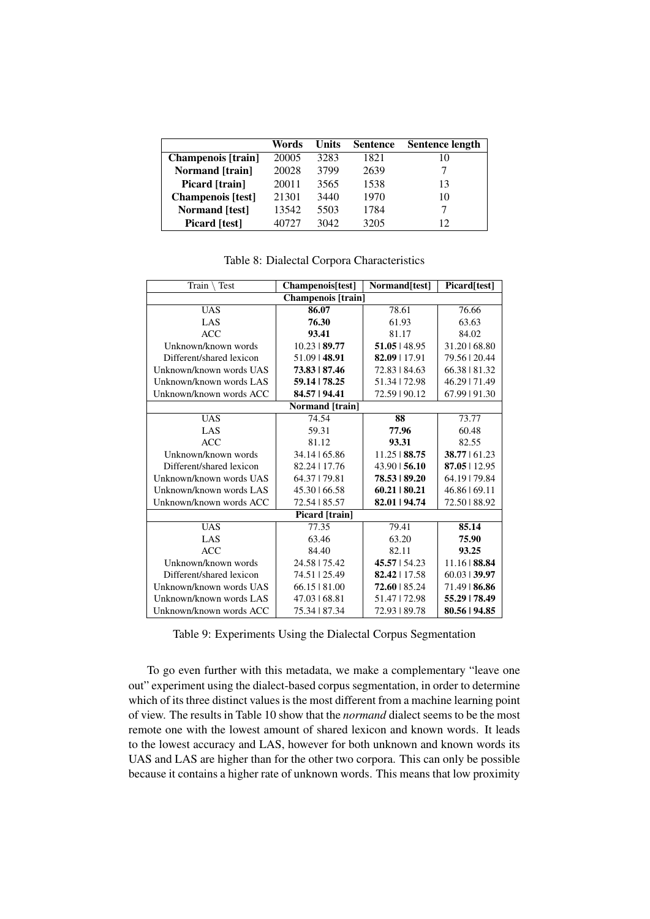|                           | Words | Units | <b>Sentence</b> | <b>Sentence length</b> |
|---------------------------|-------|-------|-----------------|------------------------|
| <b>Champenois</b> [train] | 20005 | 3283  | 1821            | 10                     |
| <b>Normand</b> [train]    | 20028 | 3799  | 2639            |                        |
| Picard [train]            | 20011 | 3565  | 1538            | 13                     |
| <b>Champenois</b> [test]  | 21301 | 3440  | 1970            | 10                     |
| <b>Normand</b> [test]     | 13542 | 5503  | 1784            |                        |
| <b>Picard</b> [test]      | 40727 | 3042  | 3205            | 12                     |

Table 8: Dialectal Corpora Characteristics

| Train $\setminus$ Test   | Champenois[test]        | Normand[test]      | Picard[test]    |  |  |  |
|--------------------------|-------------------------|--------------------|-----------------|--|--|--|
| Champenois [train]       |                         |                    |                 |  |  |  |
| <b>UAS</b>               | 86.07                   | 78.61              | 76.66           |  |  |  |
| LAS                      | 76.30                   | 61.93              | 63.63           |  |  |  |
| <b>ACC</b>               | 93.41                   | 81.17              | 84.02           |  |  |  |
| Unknown/known words      | $10.23 \text{ } 189.77$ | 51.05   48.95      | 31.20168.80     |  |  |  |
| Different/shared lexicon | 51.09   48.91           | 82.09   17.91      | 79.56   20.44   |  |  |  |
| Unknown/known words UAS  | 73.83   87.46           | 72.83   84.63      | 66.38   81.32   |  |  |  |
| Unknown/known words LAS  | 59.14   78.25           | 51.34   72.98      | 46.29   71.49   |  |  |  |
| Unknown/known words ACC  | 84.57   94.41           | 72.59   90.12      | 67.99   91.30   |  |  |  |
|                          | Normand [train]         |                    |                 |  |  |  |
| <b>UAS</b>               | 74.54                   | 88                 | 73.77           |  |  |  |
| LAS                      | 59.31                   | 77.96              | 60.48           |  |  |  |
| <b>ACC</b>               | 81.12                   | 93.31              | 82.55           |  |  |  |
| Unknown/known words      | 34.14   65.86           | $11.25 \mid 88.75$ | $38.77$   61.23 |  |  |  |
| Different/shared lexicon | 82.24   17.76           | $43.90 \mid 56.10$ | $87.05$   12.95 |  |  |  |
| Unknown/known words UAS  | 64.37   79.81           | 78.53   89.20      | 64.19   79.84   |  |  |  |
| Unknown/known words LAS  | 45.30   66.58           | $60.21$   80.21    | 46.86   69.11   |  |  |  |
| Unknown/known words ACC  | 72.54   85.57           | 82.01   94.74      | 72.50   88.92   |  |  |  |
|                          | Picard [train]          |                    |                 |  |  |  |
| <b>UAS</b>               | 77.35                   | 79.41              | 85.14           |  |  |  |
| LAS                      | 63.46                   | 63.20              | 75.90           |  |  |  |
| <b>ACC</b>               | 84.40                   | 82.11              | 93.25           |  |  |  |
| Unknown/known words      | 24.58   75.42           | 45.57   54.23      | 11.16   88.84   |  |  |  |
| Different/shared lexicon | 74.51   25.49           | $82.42$   17.58    | $60.03$   39.97 |  |  |  |
| Unknown/known words UAS  | 66.15181.00             | $72.60$   85.24    | 71.49   86.86   |  |  |  |
| Unknown/known words LAS  | 47.03   68.81           | 51.47   72.98      | 55.29   78.49   |  |  |  |
| Unknown/known words ACC  | 75.34   87.34           | 72.93   89.78      | 80.56   94.85   |  |  |  |

Table 9: Experiments Using the Dialectal Corpus Segmentation

To go even further with this metadata, we make a complementary "leave one out" experiment using the dialect-based corpus segmentation, in order to determine which of its three distinct values is the most different from a machine learning point of view. The results in Table 10 show that the *normand* dialect seems to be the most remote one with the lowest amount of shared lexicon and known words. It leads to the lowest accuracy and LAS, however for both unknown and known words its UAS and LAS are higher than for the other two corpora. This can only be possible because it contains a higher rate of unknown words. This means that low proximity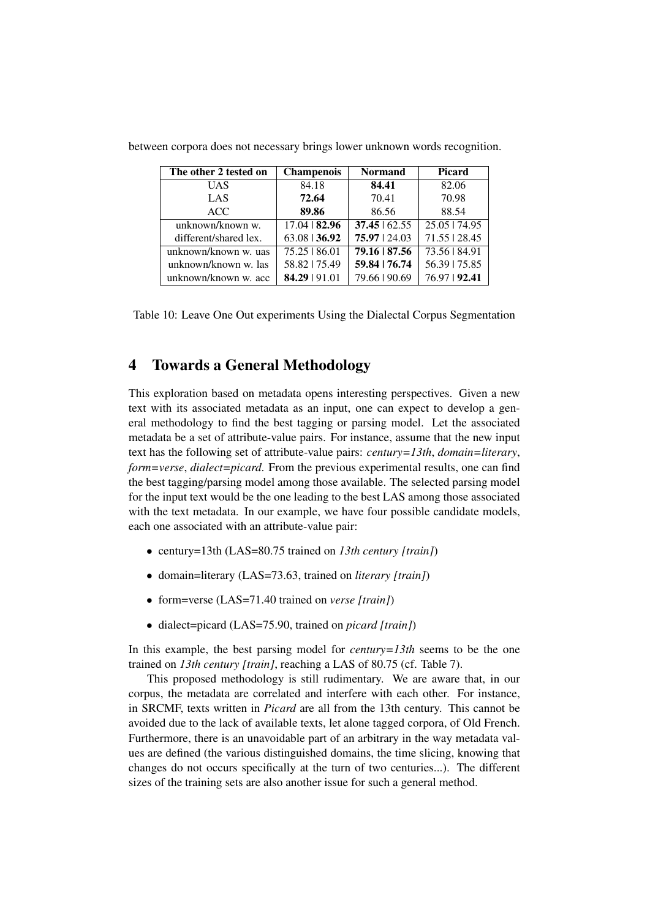| The other 2 tested on | <b>Champenois</b> | <b>Normand</b>     | <b>Picard</b> |
|-----------------------|-------------------|--------------------|---------------|
| UAS                   | 84.18             | 84.41              | 82.06         |
| LAS                   | 72.64             | 70.41              | 70.98         |
| <b>ACC</b>            | 89.86             | 86.56              | 88.54         |
| unknown/known w.      | $17.04$   82.96   | $37.45 \mid 62.55$ | 25.05   74.95 |
| different/shared lex. | 63.08   36.92     | 75.97   24.03      | 71.55   28.45 |
| unknown/known w. uas  | 75.25   86.01     | $79.16$   87.56    | 73.56   84.91 |
| unknown/known w. las  | 58.82   75.49     | 59.84   76.74      | 56.39   75.85 |
| unknown/known w. acc  | 84.29   91.01     | 79.66   90.69      | 76.97   92.41 |

between corpora does not necessary brings lower unknown words recognition.

Table 10: Leave One Out experiments Using the Dialectal Corpus Segmentation

## 4 Towards a General Methodology

This exploration based on metadata opens interesting perspectives. Given a new text with its associated metadata as an input, one can expect to develop a general methodology to find the best tagging or parsing model. Let the associated metadata be a set of attribute-value pairs. For instance, assume that the new input text has the following set of attribute-value pairs: *century=13th*, *domain=literary*, *form=verse*, *dialect=picard*. From the previous experimental results, one can find the best tagging/parsing model among those available. The selected parsing model for the input text would be the one leading to the best LAS among those associated with the text metadata. In our example, we have four possible candidate models, each one associated with an attribute-value pair:

- century=13th (LAS=80.75 trained on *13th century [train]*)
- domain=literary (LAS=73.63, trained on *literary [train]*)
- form=verse (LAS=71.40 trained on *verse [train]*)
- dialect=picard (LAS=75.90, trained on *picard [train]*)

In this example, the best parsing model for *century=13th* seems to be the one trained on *13th century [train]*, reaching a LAS of 80.75 (cf. Table 7).

This proposed methodology is still rudimentary. We are aware that, in our corpus, the metadata are correlated and interfere with each other. For instance, in SRCMF, texts written in *Picard* are all from the 13th century. This cannot be avoided due to the lack of available texts, let alone tagged corpora, of Old French. Furthermore, there is an unavoidable part of an arbitrary in the way metadata values are defined (the various distinguished domains, the time slicing, knowing that changes do not occurs specifically at the turn of two centuries...). The different sizes of the training sets are also another issue for such a general method.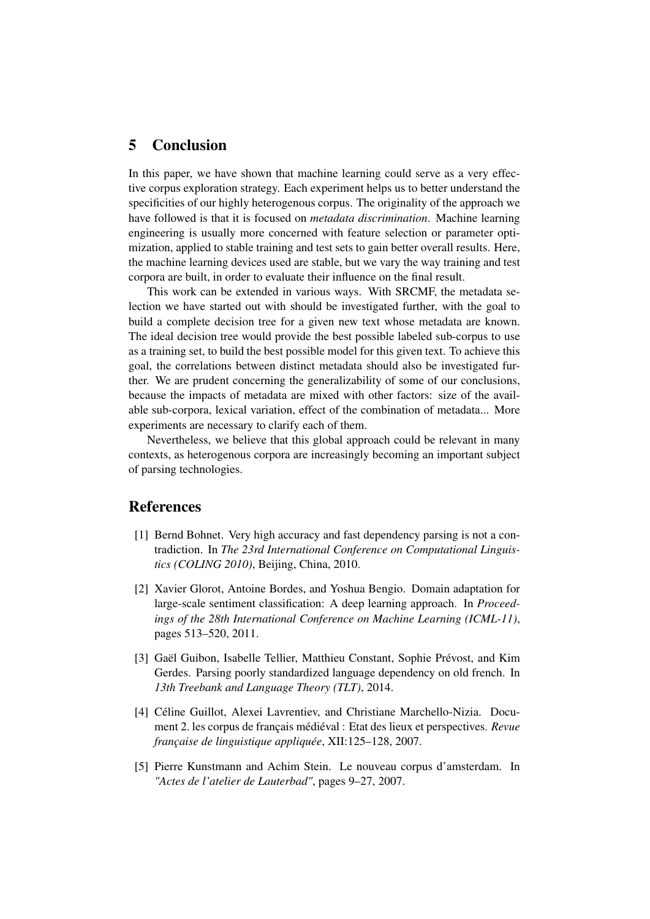### 5 Conclusion

In this paper, we have shown that machine learning could serve as a very effective corpus exploration strategy. Each experiment helps us to better understand the specificities of our highly heterogenous corpus. The originality of the approach we have followed is that it is focused on *metadata discrimination*. Machine learning engineering is usually more concerned with feature selection or parameter optimization, applied to stable training and test sets to gain better overall results. Here, the machine learning devices used are stable, but we vary the way training and test corpora are built, in order to evaluate their influence on the final result.

This work can be extended in various ways. With SRCMF, the metadata selection we have started out with should be investigated further, with the goal to build a complete decision tree for a given new text whose metadata are known. The ideal decision tree would provide the best possible labeled sub-corpus to use as a training set, to build the best possible model for this given text. To achieve this goal, the correlations between distinct metadata should also be investigated further. We are prudent concerning the generalizability of some of our conclusions, because the impacts of metadata are mixed with other factors: size of the available sub-corpora, lexical variation, effect of the combination of metadata... More experiments are necessary to clarify each of them.

Nevertheless, we believe that this global approach could be relevant in many contexts, as heterogenous corpora are increasingly becoming an important subject of parsing technologies.

### References

- [1] Bernd Bohnet. Very high accuracy and fast dependency parsing is not a contradiction. In *The 23rd International Conference on Computational Linguistics (COLING 2010)*, Beijing, China, 2010.
- [2] Xavier Glorot, Antoine Bordes, and Yoshua Bengio. Domain adaptation for large-scale sentiment classification: A deep learning approach. In *Proceedings of the 28th International Conference on Machine Learning (ICML-11)*, pages 513–520, 2011.
- [3] Gaël Guibon, Isabelle Tellier, Matthieu Constant, Sophie Prévost, and Kim Gerdes. Parsing poorly standardized language dependency on old french. In *13th Treebank and Language Theory (TLT)*, 2014.
- [4] Céline Guillot, Alexei Lavrentiev, and Christiane Marchello-Nizia. Document 2. les corpus de français médiéval : Etat des lieux et perspectives. *Revue française de linguistique appliquée*, XII:125–128, 2007.
- [5] Pierre Kunstmann and Achim Stein. Le nouveau corpus d'amsterdam. In *"Actes de l'atelier de Lauterbad"*, pages 9–27, 2007.